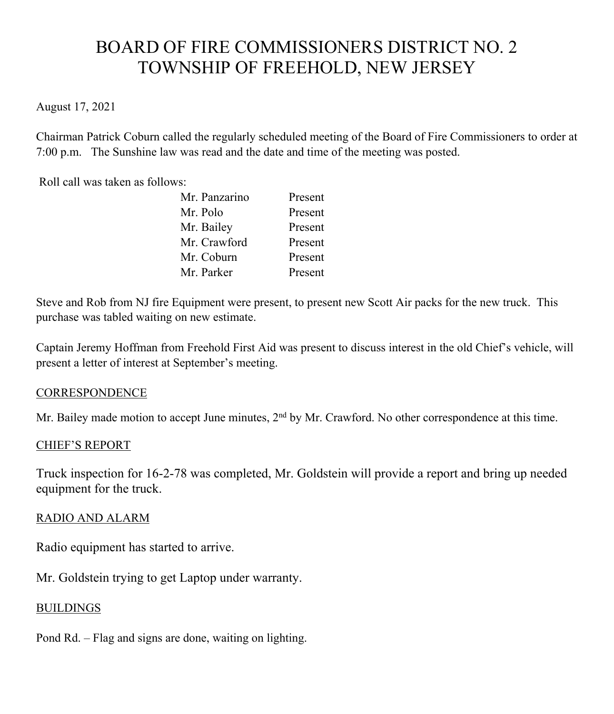# BOARD OF FIRE COMMISSIONERS DISTRICT NO. 2 TOWNSHIP OF FREEHOLD, NEW JERSEY

# August 17, 2021

Chairman Patrick Coburn called the regularly scheduled meeting of the Board of Fire Commissioners to order at 7:00 p.m. The Sunshine law was read and the date and time of the meeting was posted.

Roll call was taken as follows:

| Mr. Panzarino | Present |
|---------------|---------|
| Mr. Polo      | Present |
| Mr. Bailey    | Present |
| Mr. Crawford  | Present |
| Mr. Coburn    | Present |
| Mr. Parker    | Present |

Steve and Rob from NJ fire Equipment were present, to present new Scott Air packs for the new truck. This purchase was tabled waiting on new estimate.

Captain Jeremy Hoffman from Freehold First Aid was present to discuss interest in the old Chief's vehicle, will present a letter of interest at September's meeting.

#### **CORRESPONDENCE**

Mr. Bailey made motion to accept June minutes, 2<sup>nd</sup> by Mr. Crawford. No other correspondence at this time.

#### CHIEF'S REPORT

Truck inspection for 16-2-78 was completed, Mr. Goldstein will provide a report and bring up needed equipment for the truck.

# RADIO AND ALARM

Radio equipment has started to arrive.

Mr. Goldstein trying to get Laptop under warranty.

# **BUILDINGS**

Pond Rd. – Flag and signs are done, waiting on lighting.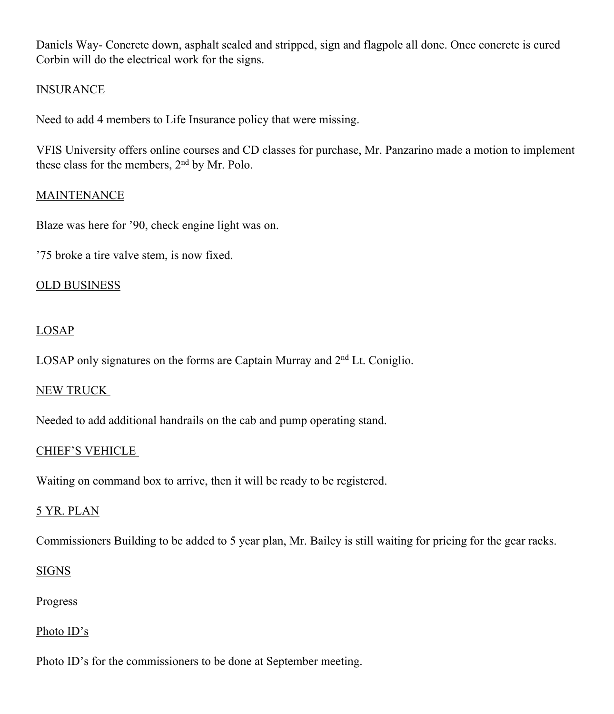Daniels Way- Concrete down, asphalt sealed and stripped, sign and flagpole all done. Once concrete is cured Corbin will do the electrical work for the signs.

# **INSURANCE**

Need to add 4 members to Life Insurance policy that were missing.

VFIS University offers online courses and CD classes for purchase, Mr. Panzarino made a motion to implement these class for the members, 2nd by Mr. Polo.

#### **MAINTENANCE**

Blaze was here for '90, check engine light was on.

'75 broke a tire valve stem, is now fixed.

#### OLD BUSINESS

# LOSAP

LOSAP only signatures on the forms are Captain Murray and  $2<sup>nd</sup>$  Lt. Coniglio.

#### NEW TRUCK

Needed to add additional handrails on the cab and pump operating stand.

# CHIEF'S VEHICLE

Waiting on command box to arrive, then it will be ready to be registered.

# 5 YR. PLAN

Commissioners Building to be added to 5 year plan, Mr. Bailey is still waiting for pricing for the gear racks.

#### **SIGNS**

Progress

#### Photo ID's

Photo ID's for the commissioners to be done at September meeting.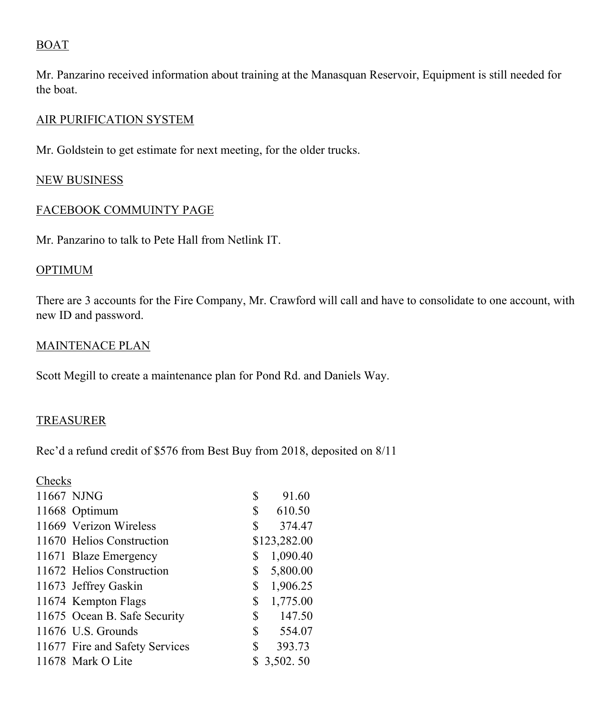# BOAT

Mr. Panzarino received information about training at the Manasquan Reservoir, Equipment is still needed for the boat.

#### AIR PURIFICATION SYSTEM

Mr. Goldstein to get estimate for next meeting, for the older trucks.

# NEW BUSINESS

#### FACEBOOK COMMUINTY PAGE

Mr. Panzarino to talk to Pete Hall from Netlink IT.

#### **OPTIMUM**

There are 3 accounts for the Fire Company, Mr. Crawford will call and have to consolidate to one account, with new ID and password.

#### MAINTENACE PLAN

Scott Megill to create a maintenance plan for Pond Rd. and Daniels Way.

# **TREASURER**

Rec'd a refund credit of \$576 from Best Buy from 2018, deposited on 8/11

| Checks |                                |                |              |
|--------|--------------------------------|----------------|--------------|
|        | 11667 NJNG                     | \$             | 91.60        |
|        | 11668 Optimum                  | \$             | 610.50       |
|        | 11669 Verizon Wireless         | \$             | 374.47       |
|        | 11670 Helios Construction      |                | \$123,282.00 |
|        | 11671 Blaze Emergency          | \$             | 1,090.40     |
|        | 11672 Helios Construction      | \$             | 5,800.00     |
|        | 11673 Jeffrey Gaskin           | $\mathbb{S}$   | 1,906.25     |
|        | 11674 Kempton Flags            | \$             | 1,775.00     |
|        | 11675 Ocean B. Safe Security   | $\mathbb{S}^-$ | 147.50       |
|        | 11676 U.S. Grounds             | \$             | 554.07       |
|        | 11677 Fire and Safety Services | \$             | 393.73       |
|        | 11678 Mark O Lite              |                | 3,502.50     |